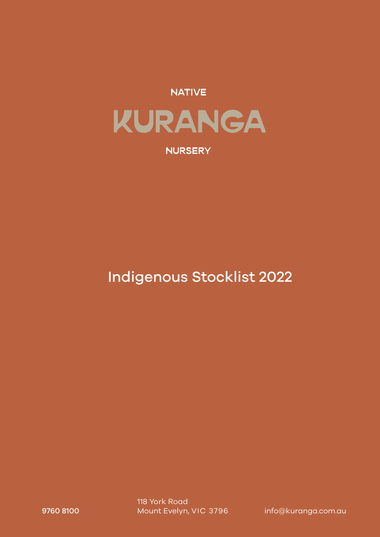

# **NURSERY**

# Indigenous Stocklist 2022

9760 8100 Mount Evelyn, VIC 3796 info@kuranga.com.au 118 York Road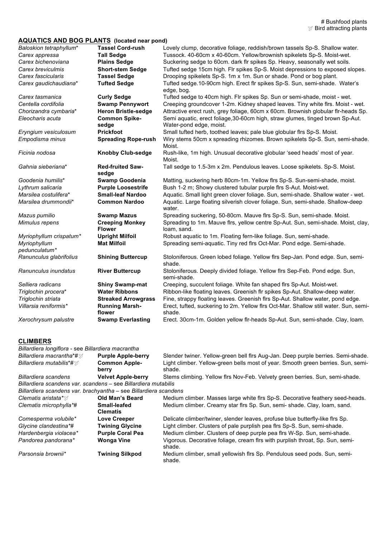# **AQUATICS AND BOG PLANTS (located near pond)**

| AWOATIOU AND DOOT LANTO (localed lieal policy) |                                         |                                                                                                          |
|------------------------------------------------|-----------------------------------------|----------------------------------------------------------------------------------------------------------|
| Baloskion tetraphyllum*                        | <b>Tassel Cord-rush</b>                 | Lovely clump, decorative foliage, reddish/brown tassels Sp-S. Shallow water.                             |
| Carex appressa                                 | <b>Tall Sedge</b>                       | Tussock. 40-60cm x 40-60cm. Yellow/brownish spikelets Sp-S. Moist-wet.                                   |
| Carex bichenoviana                             | <b>Plains Sedge</b>                     | Suckering sedge to 60cm. dark fir spikes Sp. Heavy, seasonally wet soils.                                |
| Carex breviculmis                              | <b>Short-stem Sedge</b>                 | Tufted sedge 15cm high. Flr spikes Sp-S. Moist depressions to exposed slopes.                            |
| Carex fascicularis                             | <b>Tassel Sedge</b>                     | Drooping spikelets Sp-S. 1m x 1m. Sun or shade. Pond or bog plant.                                       |
| Carex gaudichaudiana*                          | <b>Tufted Sedge</b>                     | Tufted sedge.10-90cm high. Erect flr spikes Sp-S. Sun, semi-shade. Water's                               |
|                                                |                                         | edge, bog.                                                                                               |
| Carex tasmanica                                | <b>Curly Sedge</b>                      | Tufted sedge to 40cm high. Flr spikes Sp. Sun or semi-shade, moist - wet.                                |
| Centella cordifolia                            | <b>Swamp Pennywort</b>                  | Creeping groundcover 1-2m. Kidney shaped leaves. Tiny white firs. Moist - wet.                           |
| Chorizandra cymbaria*                          | <b>Heron Bristle-sedge</b>              | Attractive erect rush, grey foliage, 60cm x 60cm. Brownish globular flr-heads Sp.                        |
| Eleocharis acuta                               | <b>Common Spike-</b><br>sedge           | Semi aquatic, erect foliage, 30-60cm high, straw glumes, tinged brown Sp-Aut.<br>Water-pond edge, moist. |
| Eryngium vesiculosum                           | <b>Prickfoot</b>                        | Small tufted herb, toothed leaves; pale blue globular firs Sp-S. Moist.                                  |
| Empodisma minus                                | <b>Spreading Rope-rush</b>              | Wiry stems 50cm x spreading rhizomes. Brown spikelets Sp-S. Sun, semi-shade.<br>Moist.                   |
| Ficinia nodosa                                 | <b>Knobby Club-sedge</b>                | Rush-like, 1m high. Unusual decorative globular 'seed heads' most of year.<br>Moist.                     |
| Gahnia sieberiana*                             | <b>Red-fruited Saw-</b><br>sedge        | Tall sedge to 1.5-3m x 2m. Pendulous leaves. Loose spikelets. Sp-S. Moist.                               |
| Goodenia humilis*                              | <b>Swamp Goodenia</b>                   | Matting, suckering herb 80cm-1m. Yellow firs Sp-S. Sun-semi-shade, moist.                                |
| Lythrum salicaria                              | <b>Purple Loosestrife</b>               | Bush 1-2 m; Showy clustered tubular purple firs S-Aut. Moist-wet.                                        |
| Marsilea costulifera*                          | <b>Small-leaf Nardoo</b>                | Aquatic. Small light green clover foliage. Sun, semi-shade. Shallow water - wet.                         |
| Marsilea drummondii*                           | <b>Common Nardoo</b>                    | Aquatic. Large floating silverish clover foliage. Sun, semi-shade. Shallow-deep<br>water.                |
| Mazus pumilio                                  | <b>Swamp Mazus</b>                      | Spreading suckering, 50-80cm. Mauve flrs Sp-S. Sun, semi-shade. Moist.                                   |
| Mimulus repens                                 | <b>Creeping Monkey</b><br><b>Flower</b> | Spreading to 1m. Mauve firs, yellow centre Sp-Aut. Sun, semi-shade. Moist, clay,<br>loam, sand.          |
| Myriophyllum crispatum*                        | <b>Upright Milfoil</b>                  | Robust aquatic to 1m. Floating fern-like foliage. Sun, semi-shade.                                       |
| Myriophyllum                                   | <b>Mat Milfoil</b>                      | Spreading semi-aquatic. Tiny red firs Oct-Mar. Pond edge. Semi-shade.                                    |
| pedunculatum*                                  |                                         |                                                                                                          |
| Ranunculus glabrifolius                        | <b>Shining Buttercup</b>                | Stoloniferous. Green lobed foliage. Yellow firs Sep-Jan. Pond edge. Sun, semi-<br>shade.                 |
| Ranunculus inundatus                           | <b>River Buttercup</b>                  | Stoloniferous. Deeply divided foliage. Yellow firs Sep-Feb. Pond edge. Sun,<br>semi-shade.               |
| Selliera radicans                              | <b>Shiny Swamp-mat</b>                  | Creeping, succulent foliage. White fan shaped firs Sp-Aut. Moist-wet.                                    |
| Triglochin procera*                            | <b>Water Ribbons</b>                    | Ribbon-like floating leaves. Greenish flr spikes Sp-Aut. Shallow-deep water.                             |
| Triglochin striata                             | <b>Streaked Arrowgrass</b>              | Fine, strappy floating leaves. Greenish firs Sp-Aut. Shallow water, pond edge.                           |
| Villarsia reniformis*                          | <b>Running Marsh-</b><br>flower         | Erect, tufted, suckering to 2m. Yellow firs Oct-Mar. Shallow still water. Sun, semi-<br>shade.           |
| Xerochrysum palustre                           | <b>Swamp Everlasting</b>                | Erect. 30cm-1m. Golden yellow flr-heads Sp-Aut. Sun, semi-shade. Clay, loam.                             |
|                                                |                                         |                                                                                                          |

#### **CLIMBERS**

| Billardiera longiflora - see Billardiera macrantha               |                                 |                                                                                            |
|------------------------------------------------------------------|---------------------------------|--------------------------------------------------------------------------------------------|
| <b>Billardiera macrantha*#</b> $\mathcal{D}$                     | <b>Purple Apple-berry</b>       | Slender twiner. Yellow-green bell firs Aug-Jan. Deep purple berries. Semi-shade.           |
| Billardiera mutabilis*#∀                                         | <b>Common Apple-</b><br>berry   | Light climber. Yellow-green bells most of year. Smooth green berries. Sun, semi-<br>shade. |
| Billardiera scandens                                             | <b>Velvet Apple-berry</b>       | Stems climbing. Yellow firs Nov-Feb. Velvety green berries. Sun, semi-shade.               |
| Billardiera scandens var. scandens – see Billardiera mutabilis   |                                 |                                                                                            |
| Billardiera scandens var. brachyantha – see Billardiera scandens |                                 |                                                                                            |
| Clematis aristata*∀                                              | Old Man's Beard                 | Medium climber. Masses large white firs Sp-S. Decorative feathery seed-heads.              |
| Clematis microphylla*#                                           | Small-leafed<br><b>Clematis</b> | Medium climber. Creamy star firs Sp. Sun, semi-shade. Clay, loam, sand.                    |
| Comesperma volubile*                                             | <b>Love Creeper</b>             | Delicate climber/twiner, slender leaves, profuse blue butterfly-like firs Sp.              |
| Glycine clandestina*#                                            | <b>Twining Glycine</b>          | Light climber. Clusters of pale purplish pea firs Sp-S. Sun, semi-shade.                   |
| Hardenbergia violacea*                                           | <b>Purple Coral Pea</b>         | Medium climber. Clusters of deep purple pea firs W-Sp. Sun, semi-shade.                    |
| Pandorea pandorana*                                              | <b>Wonga Vine</b>               | Vigorous. Decorative foliage, cream firs with purplish throat, Sp. Sun, semi-<br>shade.    |
| Parsonsia brownii*                                               | <b>Twining Silkpod</b>          | Medium climber, small yellowish firs Sp. Pendulous seed pods. Sun, semi-<br>shade.         |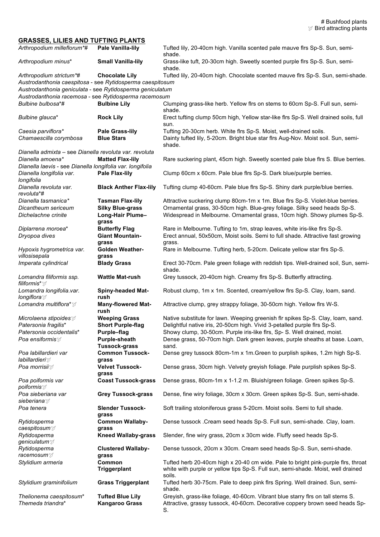#### **GRASSES, LILIES AND TUFTING PLANTS**

| Arthropodium milleflorum*#                                                           | <b>Pale Vanilla-lily</b>                    | Tufted lily, 20-40cm high. Vanilla scented pale mauve firs Sp-S. Sun, semi-<br>shade.                                                                                 |
|--------------------------------------------------------------------------------------|---------------------------------------------|-----------------------------------------------------------------------------------------------------------------------------------------------------------------------|
| Arthropodium minus*                                                                  | <b>Small Vanilla-lily</b>                   | Grass-like tuft, 20-30cm high. Sweetly scented purple firs Sp-S. Sun, semi-<br>shade.                                                                                 |
| Arthropodium strictum*#<br>Austrodanthonia caespitosa - see Rytidosperma caespitosum | <b>Chocolate Lily</b>                       | Tufted lily, 20-40cm high. Chocolate scented mauve firs Sp-S. Sun, semi-shade.                                                                                        |
| Austrodanthonia geniculata - see Rytidosperma geniculatum                            |                                             |                                                                                                                                                                       |
| Austrodanthonia racemosa - see Rytidosperma racemosum<br>Bulbine bulbosa*#           | <b>Bulbine Lily</b>                         | Clumping grass-like herb. Yellow firs on stems to 60cm Sp-S. Full sun, semi-                                                                                          |
|                                                                                      |                                             | shade.                                                                                                                                                                |
| Bulbine glauca*                                                                      | <b>Rock Lily</b>                            | Erect tufting clump 50cm high, Yellow star-like firs Sp-S. Well drained soils, full<br>sun.                                                                           |
| Caesia parviflora*<br>Chamaescilla corymbosa                                         | <b>Pale Grass-lily</b><br><b>Blue Stars</b> | Tufting 20-30cm herb. White firs Sp-S. Moist, well-drained soils.<br>Dainty tufted lily, 5-20cm. Bright blue star firs Aug-Nov. Moist soil. Sun, semi-<br>shade.      |
| Dianella admixta - see Dianella revoluta var. revoluta<br>Dianella amoena*           | <b>Matted Flax-lily</b>                     | Rare suckering plant, 45cm high. Sweetly scented pale blue firs S. Blue berries.                                                                                      |
| Dianella laevis - see Dianella longifolia var. longifolia                            |                                             |                                                                                                                                                                       |
| Dianella longifolia var.<br>longifolia                                               | <b>Pale Flax-lily</b>                       | Clump 60cm x 60cm. Pale blue firs Sp-S. Dark blue/purple berries.                                                                                                     |
| Dianella revoluta var.<br>revoluta*#                                                 | <b>Black Anther Flax-lily</b>               | Tufting clump 40-60cm. Pale blue firs Sp-S. Shiny dark purple/blue berries.                                                                                           |
| Dianella tasmanica*                                                                  | <b>Tasman Flax-lily</b>                     | Attractive suckering clump 80cm-1m x 1m. Blue firs Sp-S. Violet-blue berries.                                                                                         |
| Dicantheum sericeum                                                                  | <b>Silky Blue-grass</b>                     | Ornamental grass, 30-50cm high. Blue-grey foliage. Silky seed heads Sp-S.                                                                                             |
| Dichelachne crinite                                                                  | Long-Hair Plume-<br>grass                   | Widespread in Melbourne. Ornamental grass, 10cm high. Showy plumes Sp-S.                                                                                              |
| Diplarrena moroea*                                                                   | <b>Butterfly Flag</b>                       | Rare in Melbourne. Tufting to 1m, strap leaves, white iris-like firs Sp-S.                                                                                            |
| Dryopoa dives                                                                        | <b>Giant Mountain-</b>                      | Erect annual, 50x50cm, Moist soils. Semi to full shade. Attractive fast growing                                                                                       |
|                                                                                      | grass                                       | grass.                                                                                                                                                                |
| Hypoxis hygrometrica var.<br>villosisepala                                           | <b>Golden Weather-</b><br>grass             | Rare in Melbourne. Tufting herb, 5-20cm. Delicate yellow star firs Sp-S.                                                                                              |
| Imperata cylindrical                                                                 | <b>Blady Grass</b>                          | Erect 30-70cm. Pale green foliage with reddish tips. Well-drained soil, Sun, semi-<br>shade.                                                                          |
| Lomandra filiformis ssp.<br>filiformis* ∀                                            | <b>Wattle Mat-rush</b>                      | Grey tussock, 20-40cm high. Creamy firs Sp-S. Butterfly attracting.                                                                                                   |
| Lomandra longifolia.var.<br><i>longiflora</i>                                        | <b>Spiny-headed Mat-</b><br>rush            | Robust clump, 1m x 1m. Scented, cream/yellow firs Sp-S. Clay, Ioam, sand.                                                                                             |
| Lomandra multiflora* $\mathcal{V}$                                                   | <b>Many-flowered Mat-</b><br>rush           | Attractive clump, grey strappy foliage, 30-50cm high. Yellow flrs W-S.                                                                                                |
| Microlaena stipoides $\mathbb{S}^{\sharp}$                                           | <b>Weeping Grass</b>                        | Native substitute for lawn. Weeping greenish flr spikes Sp-S. Clay, loam, sand.                                                                                       |
| Patersonia fragilis*                                                                 | <b>Short Purple-flag</b>                    | Delightful native iris, 20-50cm high. Vivid 3-petalled purple firs Sp-S.                                                                                              |
| Patersonia occidentalis*                                                             | Purple-flag                                 | Showy clump, 30-50cm. Purple iris-like firs, Sp- S. Well drained, moist.                                                                                              |
| <i>Poa ensiformis</i> 对                                                              | Purple-sheath<br><b>Tussock-grass</b>       | Dense grass, 50-70cm high. Dark green leaves, purple sheaths at base. Loam,<br>sand.                                                                                  |
| Poa labillardieri var                                                                | <b>Common Tussock-</b>                      | Dense grey tussock 80cm-1m x 1m. Green to purplish spikes, 1.2m high Sp-S.                                                                                            |
| <i>labillardieri</i> $\mathcal{I}$                                                   | grass                                       |                                                                                                                                                                       |
| Poa morrisii∀                                                                        | <b>Velvet Tussock-</b><br>grass             | Dense grass, 30cm high. Velvety greyish foliage. Pale purplish spikes Sp-S.                                                                                           |
| Poa poiformis var<br><i>poiformis</i>                                                | <b>Coast Tussock-grass</b>                  | Dense grass, 80cm-1m x 1-1.2 m. Bluish/green foliage. Green spikes Sp-S.                                                                                              |
| Poa sieberiana var<br>sieberiana ∀                                                   | <b>Grey Tussock-grass</b>                   | Dense, fine wiry foliage, 30cm x 30cm. Green spikes Sp-S. Sun, semi-shade.                                                                                            |
| Poa tenera                                                                           | <b>Slender Tussock-</b><br>grass            | Soft trailing stoloniferous grass 5-20cm. Moist soils. Semi to full shade.                                                                                            |
| Rytidosperma                                                                         | <b>Common Wallaby-</b>                      | Dense tussock . Cream seed heads Sp-S. Full sun, semi-shade. Clay, loam.                                                                                              |
| caespitosum $ ুা$                                                                    | grass                                       |                                                                                                                                                                       |
| Rytidosperma<br>geniculatum∀                                                         | <b>Kneed Wallaby-grass</b>                  | Slender, fine wiry grass, 20cm x 30cm wide. Fluffy seed heads Sp-S.                                                                                                   |
| Rytidosperma<br>racemosum ∀                                                          | <b>Clustered Wallaby-</b><br>grass          | Dense tussock, 20cm x 30cm. Cream seed heads Sp-S. Sun, semi-shade.                                                                                                   |
| Stylidium armeria                                                                    | Common<br><b>Triggerplant</b>               | Tufted herb 20-40cm high x 20-40 cm wide. Pale to bright pink-purple firs, throat<br>white with purple or yellow tips Sp-S. Full sun, semi-shade. Moist, well drained |
| Stylidium graminifolium                                                              | <b>Grass Triggerplant</b>                   | soils.<br>Tufted herb 30-75cm. Pale to deep pink firs Spring. Well drained. Sun, semi-<br>shade.                                                                      |
| Thelionema caespitosum*                                                              | <b>Tufted Blue Lily</b>                     | Greyish, grass-like foliage, 40-60cm. Vibrant blue starry firs on tall stems S.                                                                                       |
| Themeda triandra*                                                                    | <b>Kangaroo Grass</b>                       | Attractive, grassy tussock, 40-60cm. Decorative coppery brown seed heads Sp-<br>S.                                                                                    |
|                                                                                      |                                             |                                                                                                                                                                       |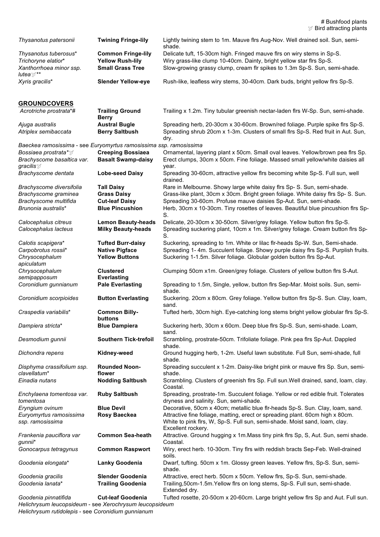| Thysanotus patersonii                                              | <b>Twining Fringe-lily</b>                             | Lightly twining stem to 1m. Mauve firs Aug-Nov. Well drained soil. Sun, semi-<br>shade.                                                                                           |
|--------------------------------------------------------------------|--------------------------------------------------------|-----------------------------------------------------------------------------------------------------------------------------------------------------------------------------------|
| Thysanotus tuberosus*                                              | <b>Common Fringe-lily</b>                              | Delicate tuft, 15-30cm high. Fringed mauve firs on wiry stems in Sp-S.                                                                                                            |
| Trichoryne elatior*<br>Xanthorrhoea minor ssp.                     | <b>Yellow Rush-lily</b><br><b>Small Grass Tree</b>     | Wiry grass-like clump 10-40cm. Dainty, bright yellow star firs Sp-S.<br>Slow-growing grassy clump, cream flr spikes to 1.3m Sp-S. Sun, semi-shade.                                |
| lutea∀**<br>Xyris gracilis*                                        | <b>Slender Yellow-eye</b>                              | Rush-like, leafless wiry stems, 30-40cm. Dark buds, bright yellow firs Sp-S.                                                                                                      |
| <b>GROUNDCOVERS</b>                                                |                                                        |                                                                                                                                                                                   |
| Acrotriche prostrata*#                                             | <b>Trailing Ground</b><br><b>Berry</b>                 | Trailing x 1.2m. Tiny tubular greenish nectar-laden firs W-Sp. Sun, semi-shade.                                                                                                   |
| Ajuga australis                                                    | <b>Austral Bugle</b>                                   | Spreading herb, 20-30cm x 30-60cm. Brown/red foliage. Purple spike firs Sp-S.                                                                                                     |
| Atriplex semibaccata                                               | <b>Berry Saltbush</b>                                  | Spreading shrub 20cm x 1-3m. Clusters of small firs Sp-S. Red fruit in Aut. Sun,<br>dry.                                                                                          |
| Baeckea ramosissima - see Euryomyrtus ramosissima ssp. ramosissima |                                                        |                                                                                                                                                                                   |
| Bossiaea prostrata*∀                                               | <b>Creeping Bossiaea</b>                               | Ornamental, layering plant x 50cm. Small oval leaves. Yellow/brown pea firs Sp.                                                                                                   |
| Brachyscome basaltica var.<br>gracilis ∀                           | <b>Basalt Swamp-daisy</b>                              | Erect clumps, 30cm x 50cm. Fine foliage. Massed small yellow/white daisies all<br>year.                                                                                           |
| Brachyscome dentata                                                | <b>Lobe-seed Daisy</b>                                 | Spreading 30-60cm, attractive yellow firs becoming white Sp-S. Full sun, well<br>drained.                                                                                         |
| Brachyscome diversifolia                                           | <b>Tall Daisy</b>                                      | Rare in Melbourne. Showy large white daisy firs Sp-S. Sun, semi-shade.                                                                                                            |
| Brachyscome graminea                                               | <b>Grass Daisy</b>                                     | Grass-like plant, 30cm x 30cm. Bright green foliage. White daisy firs Sp- S. Sun.                                                                                                 |
| Brachyscome multifida<br>Brunonia australis*                       | <b>Cut-leaf Daisy</b><br><b>Blue Pincushion</b>        | Spreading 30-60cm. Profuse mauve daisies Sp-Aut. Sun, semi-shade.<br>Herb, 30cm x 10-30cm. Tiny rosettes of leaves. Beautiful blue pincushion firs Sp-<br>S.                      |
| Calocephalus citreus<br>Calocephalus lacteus                       | <b>Lemon Beauty-heads</b><br><b>Milky Beauty-heads</b> | Delicate, 20-30cm x 30-50cm. Silver/grey foliage. Yellow button firs Sp-S.<br>Spreading suckering plant, 10cm x 1m. Silver/grey foliage. Cream button flrs Sp-<br>S.              |
| Calotis scapigera*                                                 | <b>Tufted Burr-daisy</b>                               | Suckering, spreading to 1m. White or lilac flr-heads Sp-W. Sun, Semi-shade.                                                                                                       |
| Carpobrotus rossii*<br>Chrysocephalum<br>apiculatum                | <b>Native Pigface</b><br><b>Yellow Buttons</b>         | Spreading 1- 4m. Succulent foliage. Showy purple daisy firs Sp-S. Purplish fruits.<br>Suckering 1-1.5m. Silver foliage. Globular golden button firs Sp-Aut.                       |
| Chrysocephalum                                                     | <b>Clustered</b>                                       | Clumping 50cm x1m. Green/grey foliage. Clusters of yellow button firs S-Aut.                                                                                                      |
| semipapposum<br>Coronidium gunnianum                               | <b>Everlasting</b><br><b>Pale Everlasting</b>          | Spreading to 1.5m, Single, yellow, button firs Sep-Mar. Moist soils. Sun, semi-<br>shade.                                                                                         |
| Coronidium scorpioides                                             | <b>Button Everlasting</b>                              | Suckering. 20cm x 80cm. Grey foliage. Yellow button firs Sp-S. Sun. Clay, loam,<br>sand.                                                                                          |
| Craspedia variabilis*                                              | <b>Common Billy-</b><br>buttons                        | Tufted herb, 30cm high. Eye-catching long stems bright yellow globular firs Sp-S.                                                                                                 |
| Dampiera stricta*                                                  | <b>Blue Dampiera</b>                                   | Suckering herb, 30cm x 60cm. Deep blue firs Sp-S. Sun, semi-shade. Loam,<br>sand.                                                                                                 |
| Desmodium gunnii                                                   | <b>Southern Tick-trefoil</b>                           | Scrambling, prostrate-50cm. Trifoliate foliage. Pink pea firs Sp-Aut. Dappled<br>shade.                                                                                           |
| Dichondra repens                                                   | Kidney-weed                                            | Ground hugging herb, 1-2m. Useful lawn substitute. Full Sun, semi-shade, full<br>shade.                                                                                           |
| Disphyma crassifolium ssp.<br>clavellatum*                         | <b>Rounded Noon-</b><br>flower                         | Spreading succulent x 1-2m. Daisy-like bright pink or mauve flrs Sp. Sun, semi-<br>shade.                                                                                         |
| Einadia nutans                                                     | <b>Nodding Saltbush</b>                                | Scrambling. Clusters of greenish firs Sp. Full sun. Well drained, sand, loam, clay.<br>Coastal.                                                                                   |
| Enchylaena tomentosa var.<br>tomentosa                             | <b>Ruby Saltbush</b>                                   | Spreading, prostrate-1m. Succulent foliage. Yellow or red edible fruit. Tolerates<br>dryness and salinity. Sun, semi-shade.                                                       |
| Eryngium ovinum                                                    | <b>Blue Devil</b>                                      | Decorative, 50cm x 40cm; metallic blue flr-heads Sp-S. Sun. Clay, loam, sand.                                                                                                     |
| Euryomyrtus ramosissima<br>ssp. ramosissima                        | Rosy Baeckea                                           | Attractive fine foliage, matting, erect or spreading plant. 60cm high x 80cm.<br>White to pink flrs, W, Sp-S. Full sun, semi-shade. Moist sand, loam, clay.<br>Excellent rockery. |
| Frankenia pauciflora var<br>gunnii*                                | <b>Common Sea-heath</b>                                | Attractive. Ground hugging x 1m. Mass tiny pink firs Sp, S, Aut. Sun, semi shade.<br>Coastal.                                                                                     |
| Gonocarpus tetragynus                                              | <b>Common Raspwort</b>                                 | Wiry, erect herb. 10-30cm. Tiny firs with reddish bracts Sep-Feb. Well-drained<br>soils.                                                                                          |
| Goodenia elongata*                                                 | <b>Lanky Goodenia</b>                                  | Dwarf, tufting. 50cm x 1m. Glossy green leaves. Yellow firs, Sp-S. Sun, semi-<br>shade.                                                                                           |
| Goodenia gracilis<br>Goodenia lanata*                              | <b>Slender Goodenia</b><br><b>Trailing Goodenia</b>    | Attractive, erect herb. 50cm x 50cm. Yellow firs, Sp-S. Sun, semi-shade.<br>Trailing, 50cm-1.5m. Yellow firs on long stems, Sp-S. Full sun, semi-shade.<br>Extended dry.          |

*Goodenia pinnatifida* **Cut-leaf Goodenia** Tufted rosette, 20-50cm x 20-60cm. Large bright yellow flrs Sp and Aut. Full sun. *Helichrysum leucopsideum* - see *Xerochrysum leucopsideum Helichrysum rutidolepis* - see *Coronidium gunnianum*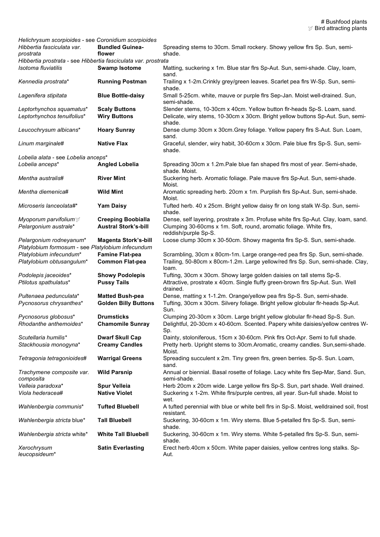| Helichrysum scorpioides - see Coronidium scorpioides<br>Hibbertia fasciculata var.<br>prostrata | <b>Bundled Guinea-</b><br>flower | Spreading stems to 30cm. Small rockery. Showy yellow firs Sp. Sun, semi-<br>shade.                    |
|-------------------------------------------------------------------------------------------------|----------------------------------|-------------------------------------------------------------------------------------------------------|
| Hibbertia prostrata - see Hibbertia fasciculata var. prostrata                                  |                                  |                                                                                                       |
| Isotoma fluviatilis                                                                             | <b>Swamp Isotome</b>             | Matting, suckering x 1m. Blue star firs Sp-Aut. Sun, semi-shade. Clay, loam,<br>sand.                 |
| Kennedia prostrata*                                                                             | <b>Running Postman</b>           | Trailing x 1-2m. Crinkly grey/green leaves. Scarlet pea firs W-Sp. Sun, semi-<br>shade.               |
| Lagenifera stipitata                                                                            | <b>Blue Bottle-daisy</b>         | Small 5-25cm. white, mauve or purple firs Sep-Jan. Moist well-drained. Sun,<br>semi-shade.            |
| Leptorhynchos squamatus*                                                                        | <b>Scaly Buttons</b>             | Slender stems, 10-30cm x 40cm. Yellow button flr-heads Sp-S. Loam, sand.                              |
| Leptorhynchos tenuifolius*                                                                      | <b>Wiry Buttons</b>              | Delicate, wiry stems, 10-30cm x 30cm. Bright yellow buttons Sp-Aut. Sun, semi-<br>shade.              |
| Leucochrysum albicans*                                                                          | <b>Hoary Sunray</b>              | Dense clump 30cm x 30cm. Grey foliage. Yellow papery firs S-Aut. Sun. Loam,<br>sand.                  |
| Linum marginale#                                                                                | <b>Native Flax</b>               | Graceful, slender, wiry habit, 30-60cm x 30cm. Pale blue firs Sp-S. Sun, semi-<br>shade.              |
| Lobelia alata - see Lobelia anceps*                                                             |                                  |                                                                                                       |
| Lobelia anceps*                                                                                 | <b>Angled Lobelia</b>            | Spreading 30cm x 1.2m. Pale blue fan shaped firs most of year. Semi-shade,<br>shade. Moist.           |
| Mentha australis#                                                                               | <b>River Mint</b>                | Suckering herb. Aromatic foliage. Pale mauve firs Sp-Aut. Sun, semi-shade.<br>Moist.                  |
| Mentha diemenica#                                                                               | <b>Wild Mint</b>                 | Aromatic spreading herb. 20cm x 1m. Purplish firs Sp-Aut. Sun, semi-shade.<br>Moist.                  |
| Microseris lanceolata#*                                                                         | <b>Yam Daisy</b>                 | Tufted herb. 40 x 25cm. Bright yellow daisy flr on long stalk W-Sp. Sun, semi-<br>shade.              |
| Myoporum parvifolium $\mathcal{F}$                                                              | <b>Creeping Boobialla</b>        | Dense, self layering, prostrate x 3m. Profuse white firs Sp-Aut. Clay, loam, sand.                    |
| Pelargonium australe*                                                                           | <b>Austral Stork's-bill</b>      | Clumping 30-60cms x 1m. Soft, round, aromatic foliage. White firs,<br>reddish/purple Sp-S.            |
| Pelargonium rodneyanum*                                                                         | <b>Magenta Stork's-bill</b>      | Loose clump 30cm x 30-50cm. Showy magenta firs Sp-S. Sun, semi-shade.                                 |
| Platylobium formosum - see Platylobium infecundum                                               |                                  |                                                                                                       |
| Platylobium infecundum*                                                                         | <b>Famine Flat-pea</b>           | Scrambling, 30cm x 80cm-1m. Large orange-red pea firs Sp. Sun, semi-shade.                            |
| Platylobium obtusangulum*                                                                       | <b>Common Flat-pea</b>           | Trailing, 50-80cm x 80cm-1.2m. Large yellow/red firs Sp. Sun, semi-shade. Clay,<br>loam.              |
| Podolepis jaceoides*                                                                            | <b>Showy Podolepis</b>           | Tufting, 30cm x 30cm. Showy large golden daisies on tall stems Sp-S.                                  |
| Ptilotus spathulatus*                                                                           | <b>Pussy Tails</b>               | Attractive, prostrate x 40cm. Single fluffy green-brown firs Sp-Aut. Sun. Well<br>drained.            |
| Pultenaea pedunculata*                                                                          | <b>Matted Bush-pea</b>           | Dense, matting x 1-1.2m. Orange/yellow pea firs Sp-S. Sun, semi-shade.                                |
| Pycnosorus chrysanthes*                                                                         | <b>Golden Billy Buttons</b>      | Tufting, 30cm x 30cm. Silvery foliage. Bright yellow globular flr-heads Sp-Aut.<br>Sun.               |
| Pycnosorus globosus*                                                                            | <b>Drumsticks</b>                | Clumping 20-30cm x 30cm. Large bright yellow globular flr-head Sp-S. Sun.                             |
| Rhodanthe anthemoides*                                                                          | <b>Chamomile Sunray</b>          | Delightful, 20-30cm x 40-60cm. Scented. Papery white daisies/yellow centres W-<br>Sp.                 |
| Scutellaria humilis*                                                                            | <b>Dwarf Skull Cap</b>           | Dainty, stoloniferous, 15cm x 30-60cm. Pink firs Oct-Apr. Semi to full shade.                         |
| Stackhousia monogyna*                                                                           | <b>Creamy Candles</b>            | Pretty herb. Upright stems to 30cm. Aromatic, creamy candles. Sun, semi-shade.<br>Moist.              |
| Tetragonia tetragonioides#                                                                      | <b>Warrigal Greens</b>           | Spreading succulent x 2m. Tiny green firs, green berries. Sp-S. Sun. Loam,<br>sand.                   |
| Trachymene composite var.<br>composita                                                          | <b>Wild Parsnip</b>              | Annual or biennial. Basal rosette of foliage. Lacy white firs Sep-Mar, Sand. Sun,<br>semi-shade.      |
| Velleia paradoxa*                                                                               | <b>Spur Velleia</b>              | Herb 20cm x 20cm wide. Large yellow firs Sp-S. Sun, part shade. Well drained.                         |
| Viola hederacea#                                                                                | <b>Native Violet</b>             | Suckering x 1-2m. White firs/purple centres, all year. Sun-full shade. Moist to<br>wet.               |
| Wahlenbergia communis*                                                                          | <b>Tufted Bluebell</b>           | A tufted perennial with blue or white bell firs in Sp-S. Moist, welldrained soil, frost<br>resistant. |
| Wahlenbergia stricta blue*                                                                      | <b>Tall Bluebell</b>             | Suckering, 30-60cm x 1m. Wiry stems. Blue 5-petalled firs Sp-S. Sun, semi-<br>shade.                  |
| Wahlenbergia stricta white*                                                                     | <b>White Tall Bluebell</b>       | Suckering, 30-60cm x 1m. Wiry stems. White 5-petalled firs Sp-S. Sun, semi-<br>shade.                 |
| Xerochrysum<br>leucopsideum*                                                                    | <b>Satin Everlasting</b>         | Erect herb.40cm x 50cm. White paper daisies, yellow centres long stalks. Sp-<br>Aut.                  |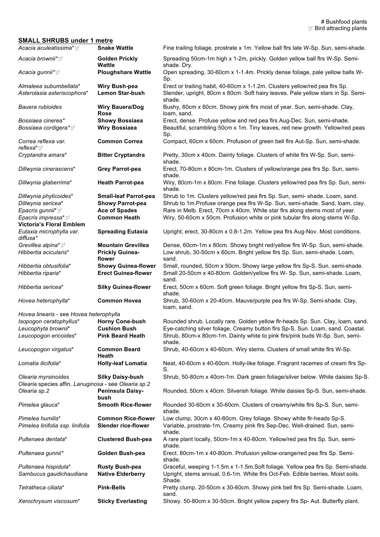### **SMALL SHRUBS under 1 metre**

| Acacia aculeatissima*∀                                                      | <b>Snake Wattle</b>              | Fine trailing foliage, prostrate x 1m. Yellow ball firs late W-Sp. Sun, semi-shade.        |
|-----------------------------------------------------------------------------|----------------------------------|--------------------------------------------------------------------------------------------|
| Acacia brownii*∀                                                            | <b>Golden Prickly</b><br>Wattle  | Spreading 50cm-1m high x 1-2m, prickly. Golden yellow ball firs W-Sp. Semi-<br>shade. Dry. |
| Acacia gunnii* $\mathbb{Y}$                                                 | <b>Ploughshare Wattle</b>        | Open spreading, 30-60cm x 1-1.4m. Prickly dense foliage, pale yellow balls W-<br>Sp.       |
| Almaleea subumbellata*                                                      | <b>Wiry Bush-pea</b>             | Erect or trailing habit, 40-60cm x 1-1.2m. Clusters yellow/red pea firs Sp.                |
| Asterolasia asteriscophora*                                                 | <b>Lemon Star-bush</b>           | Slender, upright, 80cm x 80cm. Soft hairy leaves. Pale yellow stars in Sp. Semi-<br>shade. |
| Bauera rubioides                                                            | <b>Wiry Bauera/Dog</b><br>Rose   | Bushy, 60cm x 60cm. Showy pink firs most of year. Sun, semi-shade. Clay,<br>loam, sand.    |
| Bossiaea cinerea*                                                           | <b>Showy Bossiaea</b>            | Erect, dense. Profuse yellow and red pea firs Aug-Dec. Sun, semi-shade.                    |
| Bossiaea cordigera* $\mathbb V$                                             | <b>Wiry Bossiaea</b>             | Beautiful, scrambling 50cm x 1m. Tiny leaves, red new growth. Yellow/red peas<br>Sp.       |
| Correa reflexa var.<br>reflexa* ∀                                           | <b>Common Correa</b>             | Compact, 60cm x 60cm. Profusion of green bell firs Aut-Sp. Sun, semi-shade.                |
| Cryptandra amara*                                                           | <b>Bitter Cryptandra</b>         | Pretty, 30cm x 40cm. Dainty foliage. Clusters of white firs W-Sp. Sun, semi-<br>shade.     |
| Dillwynia cinerascens*                                                      | <b>Grey Parrot-pea</b>           | Erect, 70-80cm x 80cm-1m. Clusters of yellow/orange pea firs Sp. Sun, semi-<br>shade.      |
| Dillwynia glaberrima*                                                       | <b>Heath Parrot-pea</b>          | Wiry, 80cm-1m x 80cm. Fine foliage. Clusters yellow/red pea firs Sp. Sun, semi-<br>shade.  |
| Dillwynia phylicoides*                                                      | <b>Small-leaf Parrot-pea</b>     | Shrub to 1m. Clusters yellow/red pea firs Sp. Sun, semi- shade. Loam, sand.                |
| Dillwynia sericea*                                                          | <b>Showy Parrot-pea</b>          | Shrub to 1m. Profuse orange pea firs W-Sp. Sun, semi-shade. Sand, loam, clay.              |
| Epacris gunnii* $\mathbb V$                                                 | <b>Ace of Spades</b>             | Rare in Melb. Erect, 70cm x 40cm. White star firs along stems most of year.                |
| Epacris impressa* ☆                                                         | <b>Common Heath</b>              | Wiry, 50-60cm x 50cm. Profusion white or pink tubular firs along stems W-Sp.               |
| <b>Victoria's Floral Emblem</b><br>Eutaxia microphylla var.<br>diffusa*     | <b>Spreading Eutaxia</b>         | Upright, erect, 30-80cm x 0.8-1.2m. Yellow pea firs Aug-Nov. Most conditions.              |
| Grevillea alpina* $\mathcal{G}$                                             | <b>Mountain Grevillea</b>        | Dense, 60cm-1m x 80cm. Showy bright red/yellow flrs W-Sp. Sun, semi-shade.                 |
| Hibbertia acicularis*                                                       | <b>Prickly Guinea-</b><br>flower | Low shrub, 30-50cm x 60cm. Bright yellow firs Sp. Sun, semi-shade. Loam,<br>sand.          |
| Hibbertia obtusifolia*                                                      | <b>Showy Guinea-flower</b>       | Small, rounded, 50cm x 50cm. Showy large yellow firs Sp-S. Sun, semi-shade.                |
| Hibbertia riparia*                                                          | <b>Erect Guinea-flower</b>       | Small 20-50cm x 40-80cm. Golden/yellow firs W- Sp. Sun, semi-shade. Loam,<br>sand.         |
| Hibbertia sericea*                                                          | <b>Silky Guinea-flower</b>       | Erect, 50cm x 60cm. Soft green foliage. Bright yellow firs Sp-S. Sun, semi-<br>shade.      |
| Hovea heterophylla*                                                         | <b>Common Hovea</b>              | Shrub, 30-60cm x 20-40cm. Mauve/purple pea firs W-Sp. Semi-shade. Clay,<br>loam, sand.     |
| Hovea linearis - see Hovea heterophylla                                     |                                  |                                                                                            |
| Isopogon ceratophyllus*                                                     | <b>Horny Cone-bush</b>           | Rounded shrub. Locally rare. Golden yellow flr-heads Sp. Sun. Clay, loam, sand.            |
| Leucophyta brownii*                                                         | <b>Cushion Bush</b>              | Eye-catching silver foliage. Creamy button flrs Sp-S. Sun. Loam, sand. Coastal.            |
| Leucopogon ericoides*                                                       | <b>Pink Beard Heath</b>          | Shrub, 80cm-x 80cm-1m. Dainty white to pink firs/pink buds W-Sp. Sun, semi-<br>shade.      |
| Leucopogon virgatus*                                                        | <b>Common Beard</b><br>Heath     | Shrub, 40-60cm x 40-60cm. Wiry stems. Clusters of small white firs W-Sp.                   |
| Lomatia ilicifolia*                                                         | <b>Holly-leaf Lomatia</b>        | Neat, 40-60cm x 40-60cm. Holly-like foliage. Fragrant racemes of cream flrs Sp-<br>S.      |
| Olearia myrsinoides<br>Olearia species affin. Lanuginosa - see Olearia sp.2 | <b>Silky Daisy-bush</b>          | Shrub, 50-80cm x 40cm-1m. Dark green foliage/silver below. White daisies Sp-S.             |
| Olearia sp.2                                                                | Peninsula Daisy-<br>bush         | Rounded, 50cm x 40cm. Silverish foliage. White daisies Sp-S. Sun, semi-shade.              |
| Pimelea glauca*                                                             | <b>Smooth Rice-flower</b>        | Rounded 30-60cm x 30-60cm. Clusters of creamy/white firs Sp-S. Sun, semi-<br>shade.        |
| Pimelea humilis*                                                            | <b>Common Rice-flower</b>        | Low clump, 30cm x 40-80cm. Grey foliage. Showy white flr-heads Sp-S.                       |
| Pimelea linifolia ssp. linifolia                                            | <b>Slender rice-flower</b>       | Variable, prostrate-1m, Creamy pink firs Sep-Dec. Well-drained. Sun, semi-<br>shade.       |
| Pultenaea dentata*                                                          | <b>Clustered Bush-pea</b>        | A rare plant locally, 50cm-1m x 40-80cm. Yellow/red pea firs Sp. Sun, semi-<br>shade.      |
| Pultenaea gunnii*                                                           | Golden Bush-pea                  | Erect. 80cm-1m x 40-80cm. Profusion yellow-orange/red pea firs Sp. Semi-<br>shade.         |
| Pultenaea hispidula*                                                        | <b>Rusty Bush-pea</b>            | Graceful, weeping 1-1.5m x 1-1.5m. Soft foliage. Yellow pea firs Sp. Semi-shade.           |
| Sambucus gaudichaudiana                                                     | <b>Native Elderberry</b>         | Upright, stems annual, 0.6-1m. White firs Oct-Feb. Edible berries. Moist soils.<br>Shade.  |
| Tetratheca ciliata*                                                         | <b>Pink-Bells</b>                | Pretty clump. 20-50cm x 30-60cm. Showy pink bell firs Sp. Semi-shade. Loam,<br>sand.       |
| Xerochrysum viscosum*                                                       | <b>Sticky Everlasting</b>        | Showy. 50-80cm x 30-50cm. Bright yellow papery firs Sp-Aut. Butterfly plant.               |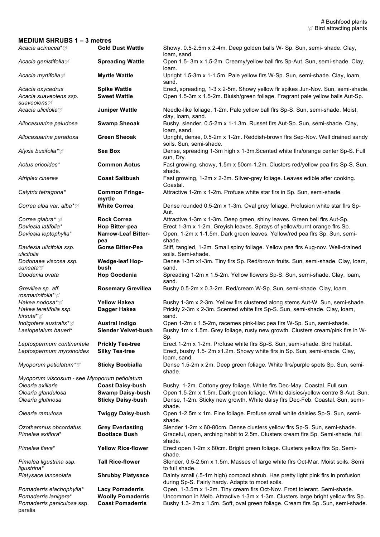#### **MEDIUM SHRUBS 1 – 3 metres**

| Acacia acinacea* ☆                                                 | <b>Gold Dust Wattle</b>                          | Showy. 0.5-2.5m x 2-4m. Deep golden balls W- Sp. Sun, semi- shade. Clay,<br>loam, sand.                                                                                 |
|--------------------------------------------------------------------|--------------------------------------------------|-------------------------------------------------------------------------------------------------------------------------------------------------------------------------|
| Acacia genistifolia∀                                               | <b>Spreading Wattle</b>                          | Open 1.5-3m x 1.5-2m. Creamy/yellow ball firs Sp-Aut. Sun, semi-shade. Clay,<br>loam.                                                                                   |
| Acacia myrtifolia 对                                                | <b>Myrtle Wattle</b>                             | Upright 1.5-3m x 1-1.5m. Pale yellow firs W-Sp. Sun, semi-shade. Clay, loam,<br>sand.                                                                                   |
| Acacia oxycedrus<br>Acacia suaveolens ssp.<br>suaveolens           | <b>Spike Wattle</b><br><b>Sweet Wattle</b>       | Erect, spreading, 1-3 x 2-5m. Showy yellow flr spikes Jun-Nov. Sun, semi-shade.<br>Open 1.5-3m x 1.5-2m. Bluish/green foliage. Fragrant pale yellow balls Aut-Sp.       |
| Acacia ulicifolia∀                                                 | <b>Juniper Wattle</b>                            | Needle-like foliage, 1-2m. Pale yellow ball firs Sp-S. Sun, semi-shade. Moist,<br>clay, loam, sand.                                                                     |
| Allocasuarina paludosa                                             | <b>Swamp Sheoak</b>                              | Bushy, slender. 0.5-2m x 1-1.3m. Russet firs Aut-Sp. Sun, semi-shade. Clay,<br>loam, sand.                                                                              |
| Allocasuarina paradoxa                                             | <b>Green Sheoak</b>                              | Upright, dense, 0.5-2m x 1-2m. Reddish-brown firs Sep-Nov. Well drained sandy<br>soils. Sun, semi-shade.                                                                |
| Alyxia buxifolia*∀                                                 | Sea Box                                          | Dense, spreading 1-3m high x 1-3m. Scented white firs/orange center Sp-S. Full<br>sun, Dry.                                                                             |
| Aotus ericoides*                                                   | <b>Common Aotus</b>                              | Fast growing, showy, 1.5m x 50cm-1.2m. Clusters red/yellow pea firs Sp-S. Sun,<br>shade.                                                                                |
| Atriplex cinerea                                                   | <b>Coast Saltbush</b>                            | Fast growing, 1-2m x 2-3m. Silver-grey foliage. Leaves edible after cooking.<br>Coastal.                                                                                |
| Calytrix tetragona*                                                | <b>Common Fringe-</b><br>myrtle                  | Attractive 1-2m x 1-2m. Profuse white star firs in Sp. Sun, semi-shade.                                                                                                 |
| Correa alba var. alba*∀                                            | <b>White Correa</b>                              | Dense rounded 0.5-2m x 1-3m. Oval grey foliage. Profusion white star firs Sp-<br>Aut.                                                                                   |
| Correa glabra* ☆                                                   | <b>Rock Correa</b>                               | Attractive.1-3m x 1-3m. Deep green, shiny leaves. Green bell firs Aut-Sp.                                                                                               |
| Daviesia latifolia*                                                | <b>Hop Bitter-pea</b>                            | Erect 1-3m x 1-2m. Greyish leaves. Sprays of yellow/burnt orange firs Sp.                                                                                               |
| Daviesia leptophylla*                                              | <b>Narrow-Leaf Bitter-</b><br>pea                | Open. 1-2m x 1-1.5m. Dark green leaves. Yellow/red pea firs Sp. Sun, semi-<br>shade.                                                                                    |
| Daviesia ulicifolia ssp.<br>ulicifolia                             | Gorse Bitter-Pea                                 | Stiff, tangled, 1-2m. Small spiny foliage. Yellow pea firs Aug-nov. Well-drained<br>soils. Semi-shade.                                                                  |
| Dodonaea viscosa ssp.<br>cuneata ∀                                 | <b>Wedge-leaf Hop-</b><br>bush                   | Dense 1-3m x1-3m. Tiny firs Sp. Red/brown fruits. Sun, semi-shade. Clay, loam,<br>sand.                                                                                 |
| Goodenia ovata                                                     | <b>Hop Goodenia</b>                              | Spreading 1-2m x 1.5-2m. Yellow flowers Sp-S. Sun, semi-shade. Clay, loam,<br>sand.                                                                                     |
| Grevillea sp. aff.<br>rosmarinifolia* ☆                            | <b>Rosemary Grevillea</b>                        | Bushy 0.5-2m x 0.3-2m. Red/cream W-Sp. Sun, semi-shade. Clay, loam.                                                                                                     |
| Hakea nodosa* $\mathcal Y$<br>Hakea teretifolia ssp.<br>hirsuta* ☆ | <b>Yellow Hakea</b><br>Dagger Hakea              | Bushy 1-3m x 2-3m. Yellow firs clustered along stems Aut-W. Sun, semi-shade.<br>Prickly 2-3m x 2-3m. Scented white firs Sp-S. Sun, semi-shade. Clay, loam,<br>sand.     |
| <i>Indigofera australis*</i> y                                     | <b>Austral Indigo</b>                            | Open 1-2m x 1.5-2m, racemes pink-lilac pea firs W-Sp. Sun, semi-shade.                                                                                                  |
| Lasiopetalum baueri*                                               | <b>Slender Velvet-bush</b>                       | Bushy 1m x 1.5m. Grey foliage, rusty new growth. Clusters cream/pink firs in W-<br>Sp.                                                                                  |
| Leptospermum continentale<br>Leptospermum myrsinoides              | <b>Prickly Tea-tree</b><br><b>Silky Tea-tree</b> | Erect 1-2m x 1-2m. Profuse white firs Sp-S. Sun, semi-shade. Bird habitat.<br>Erect, bushy 1.5- 2m x1.2m. Showy white firs in Sp. Sun, semi-shade. Clay,<br>loam, sand. |
| Myoporum petiolatum* $\mathbb{Y}$                                  | <b>Sticky Boobialla</b>                          | Dense 1.5-2m x 2m. Deep green foliage. White firs/purple spots Sp. Sun, semi-<br>shade.                                                                                 |
| Myoporum viscosum - see Myoporum petiolatum                        |                                                  |                                                                                                                                                                         |
| Olearia axillaris                                                  | <b>Coast Daisy-bush</b>                          | Bushy, 1-2m. Cottony grey foliage. White firs Dec-May. Coastal. Full sun.                                                                                               |
| Olearia glandulosa                                                 | <b>Swamp Daisy-bush</b>                          | Open 1.5-2m x 1.5m. Dark green foliage. White daisies/yellow centre S-Aut. Sun.                                                                                         |
| Olearia glutinosa                                                  | <b>Sticky Daisy-bush</b>                         | Dense, 1-2m. Sticky new growth. White daisy firs Dec-Feb. Coastal. Sun, semi-<br>shade.                                                                                 |
| Olearia ramulosa                                                   | <b>Twiggy Daisy-bush</b>                         | Open 1-2.5m x 1m. Fine foliage. Profuse small white daisies Sp-S. Sun, semi-<br>shade.                                                                                  |
| Ozothamnus obcordatus                                              | <b>Grey Everlasting</b>                          | Slender 1-2m x 60-80cm. Dense clusters yellow firs Sp-S. Sun, semi-shade.                                                                                               |
| Pimelea axiflora*                                                  | <b>Bootlace Bush</b>                             | Graceful, open, arching habit to 2.5m. Clusters cream firs Sp. Semi-shade, full<br>shade.                                                                               |
| Pimelea flava*                                                     | <b>Yellow Rice-flower</b>                        | Erect open 1-2m x 80cm. Bright green foliage. Clusters yellow firs Sp. Semi-<br>shade.                                                                                  |
| Pimelea ligustrina ssp.<br>ligustrina*                             | <b>Tall Rice-flower</b>                          | Slender, 0.5-2.5m x 1.5m. Masses of large white firs Oct-Mar. Moist soils. Semi<br>to full shade.                                                                       |
| Platysace lanceolata                                               | <b>Shrubby Platysace</b>                         | Dainty small (.5-1m high) compact shrub. Has pretty light pink firs in profusion<br>during Sp-S. Fairly hardy. Adapts to most soils.                                    |
| Pomaderris elachophylla*                                           | <b>Lacy Pomaderris</b>                           | Open, 1-3.5m x 1-2m. Tiny cream firs Oct-Nov. Frost tolerant. Semi-shade.                                                                                               |
| Pomaderris lanigera*                                               | <b>Woolly Pomaderris</b>                         | Uncommon in Melb. Attractive 1-3m x 1-3m. Clusters large bright yellow firs Sp.                                                                                         |
| Pomaderris paniculosa ssp.<br>paralia                              | <b>Coast Pomaderris</b>                          | Bushy 1.3- 2m x 1.5m. Soft, oval green foliage. Cream firs Sp. Sun, semi-shade.                                                                                         |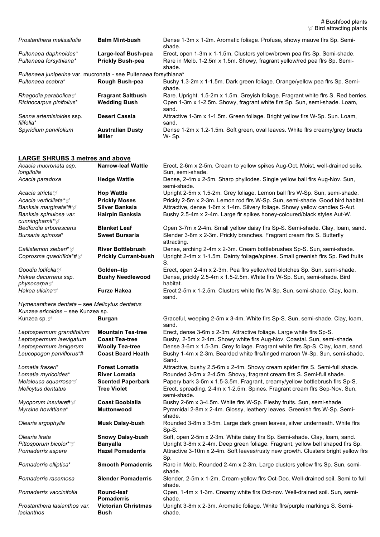# Bushfood plants *I* Bird attracting plants

| Prostanthera melissifolia                                        | <b>Balm Mint-bush</b>             | Dense 1-3m x 1-2m. Aromatic foliage. Profuse, showy mauve firs Sp. Semi-<br>shade.     |
|------------------------------------------------------------------|-----------------------------------|----------------------------------------------------------------------------------------|
| Pultenaea daphnoides*                                            | Large-leaf Bush-pea               | Erect, open 1-3m x 1-1.5m. Clusters yellow/brown pea firs Sp. Semi-shade.              |
| Pultenaea forsythiana*                                           | <b>Prickly Bush-pea</b>           | Rare in Melb. 1-2.5m x 1.5m. Showy, fragrant yellow/red pea firs Sp. Semi-<br>shade.   |
| Pultenaea juniperina var. mucronata - see Pultenaea forsythiana* |                                   |                                                                                        |
| Pultenaea scabra*                                                | Rough Bush-pea                    | Bushy 1.3-2m x 1-1.5m. Dark green foliage. Orange/yellow pea firs Sp. Semi-<br>shade.  |
|                                                                  | <b>Fragrant Saltbush</b>          | Rare. Upright. 1.5-2m x 1.5m. Greyish foliage. Fragrant white firs S. Red berries.     |
| Ricinocarpus pinifolius*                                         | <b>Wedding Bush</b>               | Open 1-3m x 1-2.5m. Showy, fragrant white firs Sp. Sun, semi-shade. Loam,<br>sand.     |
| Senna artemisioides ssp.<br>filifolia*                           | <b>Desert Cassia</b>              | Attractive 1-3m x 1-1.5m. Green foliage. Bright yellow firs W-Sp. Sun. Loam,<br>sand.  |
| Spyridium parvifolium                                            | <b>Australian Dusty</b><br>Miller | Dense 1-2m x 1.2-1.5m. Soft green, oval leaves. White firs creamy/grey bracts<br>W-Sp. |

#### **LARGE SHRUBS 3 metres and above**

| Acacia mucronata ssp.<br>longifolia           | <b>Narrow-leaf Wattle</b>          | Erect, 2-6m x 2-5m. Cream to yellow spikes Aug-Oct. Moist, well-drained soils.<br>Sun, semi-shade. |
|-----------------------------------------------|------------------------------------|----------------------------------------------------------------------------------------------------|
| Acacia paradoxa                               | <b>Hedge Wattle</b>                | Dense, 2-4m x 2-5m. Sharp phyllodes. Single yellow ball firs Aug-Nov. Sun,<br>semi-shade.          |
| Acacia stricta∀                               | <b>Hop Wattle</b>                  | Upright 2-5m x 1.5-2m. Grey foliage. Lemon ball firs W-Sp. Sun, semi-shade.                        |
| Acacia verticillata*∀                         | <b>Prickly Moses</b>               | Prickly 2-5m x 2-3m. Lemon rod firs W-Sp. Sun, semi-shade. Good bird habitat.                      |
| Banksia marginata*#☆                          | <b>Silver Banksia</b>              | Attractive, dense 1-6m x 1-4m. Silvery foliage. Showy yellow candles S-Aut.                        |
| Banksia spinulosa var.                        | Hairpin Banksia                    | Bushy 2.5-4m x 2-4m. Large fir spikes honey-coloured/black styles Aut-W.                           |
| cunninghamii* $\mathbb{Y}$                    |                                    |                                                                                                    |
| Bedfordia arborescens                         | <b>Blanket Leaf</b>                | Open 3-7m x 2-4m. Small yellow daisy firs Sp-S. Semi-shade. Clay, loam, sand.                      |
| Bursaria spinosa*                             | <b>Sweet Bursaria</b>              | Slender 3-8m x 2-3m. Prickly branches. Fragrant cream firs S. Butterfly<br>attracting.             |
| Callistemon sieberi* $\mathbb{Y}$             | <b>River Bottlebrush</b>           | Dense, arching 2-4m x 2-3m. Cream bottlebrushes Sp-S. Sun, semi-shade.                             |
| Coprosma quadrifida*# $\mathcal{G}$           | <b>Prickly Currant-bush</b>        | Upright 2-4m x 1-1.5m. Dainty foliage/spines. Small greenish flrs Sp. Red fruits<br>S.             |
| Goodia lotifolia $\mathbb Z$                  | Golden-tip                         | Erect, open 2-4m x 2-3m. Pea firs yellow/red blotches Sp. Sun, semi-shade.                         |
| Hakea decurrens ssp.<br>physocarpa <i></i> 对  | <b>Bushy Needlewood</b>            | Dense, prickly 2.5-4m x 1.5-2.5m. White firs W-Sp. Sun, semi-shade. Bird<br>habitat.               |
| Hakea ulicina∀                                | <b>Furze Hakea</b>                 | Erect 2-5m x 1-2.5m. Clusters white firs W-Sp. Sun, semi-shade. Clay, loam,<br>sand.               |
| Hymenanthera dentata - see Melicytus dentatus |                                    |                                                                                                    |
| Kunzea ericoides - see Kunzea sp.             |                                    |                                                                                                    |
| Kunzea sp. y                                  | <b>Burgan</b>                      | Graceful, weeping 2-5m x 3-4m. White firs Sp-S. Sun, semi-shade. Clay, loam,<br>sand.              |
| Leptospermum grandifolium                     | <b>Mountain Tea-tree</b>           | Erect, dense 3-6m x 2-3m. Attractive foliage. Large white firs Sp-S.                               |
| Leptospermum laevigatum                       | <b>Coast Tea-tree</b>              | Bushy, 2-5m x 2-4m. Showy white firs Aug-Nov. Coastal. Sun, semi-shade.                            |
| Leptospermum lanigerum                        | <b>Woolly Tea-tree</b>             | Dense 3-6m x 1.5-3m. Grey foliage. Fragrant white firs Sp-S. Clay, loam, sand.                     |
| Leucopogon parviflorus*#                      | <b>Coast Beard Heath</b>           | Bushy 1-4m x 2-3m. Bearded white firs/tinged maroon W-Sp. Sun, semi-shade.<br>Sand.                |
| Lomatia fraseri*                              | <b>Forest Lomatia</b>              | Attractive, bushy 2.5-6m x 2-4m. Showy cream spider firs S. Semi-full shade.                       |
| Lomatia myricoides*                           | <b>River Lomatia</b>               | Rounded 3-5m x 2-4.5m. Showy, fragrant cream firs S. Semi-full shade.                              |
| Melaleuca squarrosa $\mathcal{V}$             | <b>Scented Paperbark</b>           | Papery bark 3-5m x 1.5-3.5m. Fragrant, creamy/yellow bottlebrush firs Sp-S.                        |
| Melicytus dentatus                            | <b>Tree Violet</b>                 | Erect, spreading, 2-4m x 1-2.5m. Spines. Fragrant cream firs Sep-Nov. Sun,<br>semi-shade.          |
| Myoporum insulare# $\mathbb{Y}$               | <b>Coast Boobialla</b>             | Bushy 2-6m x 3-4.5m. White firs W-Sp. Fleshy fruits. Sun, semi-shade.                              |
| Myrsine howittiana*                           | <b>Muttonwood</b>                  | Pyramidal 2-8m x 2-4m. Glossy, leathery leaves. Greenish firs W-Sp. Semi-<br>shade.                |
| Olearia argophylla                            | <b>Musk Daisy-bush</b>             | Rounded 3-8m x 3-5m. Large dark green leaves, silver underneath. White firs<br>Sp-S.               |
| Olearia lirata                                | <b>Snowy Daisy-bush</b>            | Soft, open 2-5m x 2-3m. White daisy firs Sp. Semi-shade. Clay, loam, sand.                         |
| Pittosporum bicolor* ☆                        | <b>Banyalla</b>                    | Upright 3-8m x 2-4m. Deep green foliage. Fragrant, yellow bell shaped firs Sp.                     |
| Pomaderris aspera                             | <b>Hazel Pomaderris</b>            | Attractive 3-10m x 2-4m. Soft leaves/rusty new growth. Clusters bright yellow firs<br>Sp.          |
| Pomaderris elliptica*                         | <b>Smooth Pomaderris</b>           | Rare in Melb. Rounded 2-4m x 2-3m. Large clusters yellow firs Sp. Sun, semi-<br>shade.             |
| Pomaderris racemosa                           | <b>Slender Pomaderris</b>          | Slender, 2-5m x 1-2m. Cream-yellow firs Oct-Dec. Well-drained soil. Semi to full<br>shade.         |
| Pomaderris vaccinifolia                       | Round-leaf<br><b>Pomaderris</b>    | Open, 1-4m x 1-3m. Creamy white firs Oct-nov. Well-drained soil. Sun, semi-<br>shade.              |
| Prostanthera lasianthos var.<br>lasianthos    | <b>Victorian Christmas</b><br>Bush | Upright 3-8m x 2-3m. Aromatic foliage. White firs/purple markings S. Semi-<br>shade.               |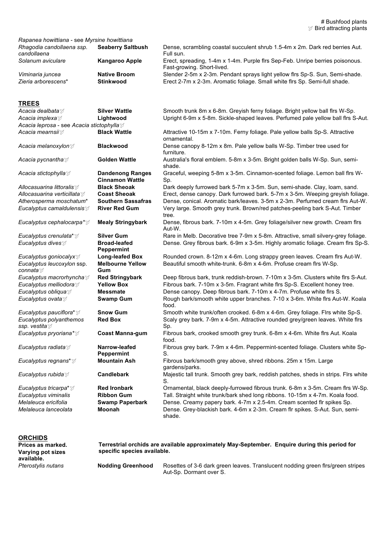| Rapanea howittiana - see Myrsine howittiana |                          |                                                                                                             |
|---------------------------------------------|--------------------------|-------------------------------------------------------------------------------------------------------------|
| Rhagodia candollaena ssp.<br>candollaena    | <b>Seaberry Saltbush</b> | Dense, scrambling coastal succulent shrub 1.5-4m x 2m. Dark red berries Aut.<br>Full sun.                   |
| Solanum aviculare                           | <b>Kangaroo Apple</b>    | Erect, spreading, 1-4m x 1-4m. Purple firs Sep-Feb. Unripe berries poisonous.<br>Fast-growing. Short-lived. |
| Viminaria juncea                            | <b>Native Broom</b>      | Slender 2-5m x 2-3m. Pendant sprays light yellow firs Sp-S. Sun, Semi-shade.                                |
| Zieria arborescens*                         | Stinkwood                | Erect 2-7m x 2-3m. Aromatic foliage. Small white firs Sp. Semi-full shade.                                  |

#### **TREES**

| INEEO                                                 |                                                   |                                                                                             |
|-------------------------------------------------------|---------------------------------------------------|---------------------------------------------------------------------------------------------|
| Acacia dealbata∀                                      | <b>Silver Wattle</b>                              | Smooth trunk 8m x 6-8m. Greyish ferny foliage. Bright yellow ball firs W-Sp.                |
| Acacia implexa∀                                       | Lightwood                                         | Upright 6-9m x 5-8m. Sickle-shaped leaves. Perfumed pale yellow ball firs S-Aut.            |
| Acacia leprosa - see Acacia stictophylla $\mathcal I$ |                                                   |                                                                                             |
| Acacia mearnsii∀                                      | <b>Black Wattle</b>                               | Attractive 10-15m x 7-10m. Ferny foliage. Pale yellow balls Sp-S. Attractive<br>ornamental. |
| Acacia melanoxylon ∀                                  | <b>Blackwood</b>                                  | Dense canopy 8-12m x 8m. Pale yellow balls W-Sp. Timber tree used for<br>furniture.         |
| Acacia pycnantha∀                                     | <b>Golden Wattle</b>                              | Australia's floral emblem. 5-8m x 3-5m. Bright golden balls W-Sp. Sun, semi-<br>shade.      |
| Acacia stictophylla∀                                  | <b>Dandenong Ranges</b><br><b>Cinnamon Wattle</b> | Graceful, weeping 5-8m x 3-5m. Cinnamon-scented foliage. Lemon ball firs W-<br>Sp.          |
| Allocasuarina littoralis∀                             | <b>Black Sheoak</b>                               | Dark deeply furrowed bark 5-7m x 3-5m. Sun, semi-shade. Clay, loam, sand.                   |
| Allocasuarina verticillata∀                           | <b>Coast Sheoak</b>                               | Erect, dense canopy. Dark furrowed bark. 5-7m x 3-5m. Weeping greyish foliage.              |
| Atherosperma moschatum*                               | <b>Southern Sassafras</b>                         | Dense, conical. Aromatic bark/leaves. 3-5m x 2-3m. Perfumed cream firs Aut-W.               |
| Eucalyptus camaldulensis $\mathcal{F}$                | <b>River Red Gum</b>                              | Very large. Smooth grey trunk. Brown/red patches-peeling bark S-Aut. Timber<br>tree.        |
| Eucalyptus cephalocarpa* $\mathcal{I}$                | <b>Mealy Stringybark</b>                          | Dense, fibrous bark. 7-10m x 4-5m. Grey foliage/silver new growth. Cream firs<br>Aut-W.     |
| Eucalyptus crenulata* ☆                               | <b>Silver Gum</b>                                 | Rare in Melb. Decorative tree 7-9m x 5-8m. Attractive, small silvery-grey foliage.          |
| Eucalyptus dives                                      | <b>Broad-leafed</b><br>Peppermint                 | Dense. Grey fibrous bark. 6-9m x 3-5m. Highly aromatic foliage. Cream firs Sp-S.            |
| Eucalyptus goniocalyx $\mathcal{I}$                   | <b>Long-leafed Box</b>                            | Rounded crown. 8-12m x 4-6m. Long strappy green leaves. Cream firs Aut-W.                   |
| Eucalyptus leucoxylon ssp.<br>connata∀                | <b>Melbourne Yellow</b><br>Gum                    | Beautiful smooth white-trunk. 6-8m x 4-6m. Profuse cream firs W-Sp.                         |
| Eucalyptus macrorhyncha                               | <b>Red Stringybark</b>                            | Deep fibrous bark, trunk reddish-brown. 7-10m x 3-5m. Clusters white firs S-Aut.            |
| Eucalyptus melliodora $\mathcal Y$                    | <b>Yellow Box</b>                                 | Fibrous bark. 7-10m x 3-5m. Fragrant white firs Sp-S. Excellent honey tree.                 |
| Eucalyptus obliqua $\mathbb{Y}$                       | <b>Messmate</b>                                   | Dense canopy. Deep fibrous bark. 7-10m x 4-7m. Profuse white firs S.                        |
| Eucalyptus ovata∀                                     | <b>Swamp Gum</b>                                  | Rough bark/smooth white upper branches. 7-10 x 3-6m. White firs Aut-W. Koala<br>food.       |
| Eucalyptus pauciflora* $\mathcal{F}$                  | <b>Snow Gum</b>                                   | Smooth white trunk/often crooked. 6-8m x 4-6m. Grey foliage. Flrs white Sp-S.               |
| Eucalyptus polyanthemos<br>ssp. vestita∀              | <b>Red Box</b>                                    | Scaly grey bark. 7-9m x 4-5m. Attractive rounded grey/green leaves. White firs<br>Sp.       |
| Eucalyptus pryoriana* $\mathcal{V}$                   | <b>Coast Manna-gum</b>                            | Fibrous bark, crooked smooth grey trunk. 6-8m x 4-6m. White firs Aut. Koala<br>food.        |
| Eucalyptus radiata∀                                   | Narrow-leafed<br><b>Peppermint</b>                | Fibrous grey bark. 7-9m x 4-6m. Peppermint-scented foliage. Clusters white Sp-<br>S.        |
| Eucalyptus regnans* $\mathcal{F}$                     | <b>Mountain Ash</b>                               | Fibrous bark/smooth grey above, shred ribbons. 25m x 15m. Large<br>gardens/parks.           |
| Eucalyptus rubida $\mathbb{Y}$                        | <b>Candlebark</b>                                 | Majestic tall trunk. Smooth grey bark, reddish patches, sheds in strips. Flrs white<br>S.   |
| Eucalyptus tricarpa* $\mathbb{Y}$                     | <b>Red Ironbark</b>                               | Ornamental, black deeply-furrowed fibrous trunk. 6-8m x 3-5m. Cream firs W-Sp.              |
| Eucalyptus viminalis                                  | <b>Ribbon Gum</b>                                 | Tall. Straight white trunk/bark shed long ribbons. 10-15m x 4-7m. Koala food.               |
| Melaleuca ericifolia                                  | <b>Swamp Paperbark</b>                            | Dense. Creamy papery bark. 4-7m x 2.5-4m. Cream scented fir spikes Sp.                      |
| Melaleuca lanceolata                                  | Moonah                                            | Dense. Grey-blackish bark. 4-6m x 2-3m. Cream flr spikes. S-Aut. Sun, semi-<br>shade.       |
|                                                       |                                                   |                                                                                             |

## **ORCHIDS**

| Prices as marked.<br>Varying pot sizes<br>available. | Terrestrial orchids are available approximately May-September. Enguire during this period for<br>specific species available. |                                                                                                            |
|------------------------------------------------------|------------------------------------------------------------------------------------------------------------------------------|------------------------------------------------------------------------------------------------------------|
| Pterostylis nutans                                   | <b>Nodding Greenhood</b>                                                                                                     | Rosettes of 3-6 dark green leaves. Translucent nodding green firs/green stripes<br>Aut-Sp. Dormant over S. |